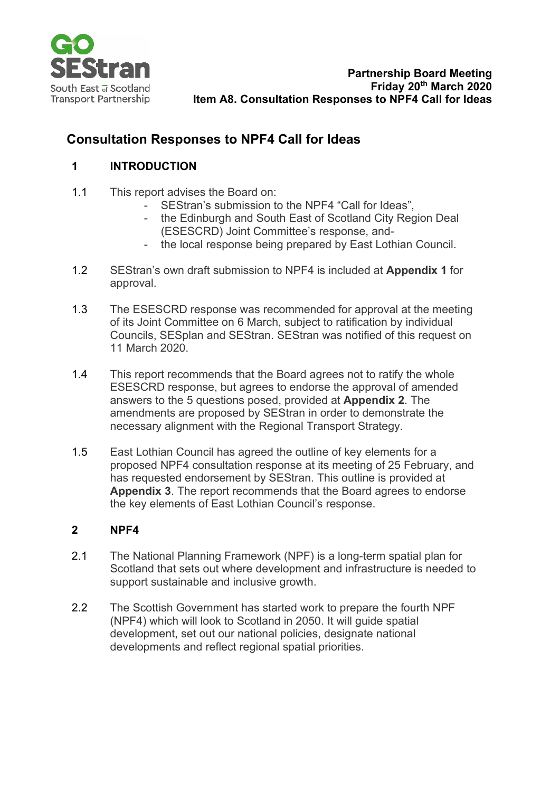

# **Consultation Responses to NPF4 Call for Ideas**

# **1 INTRODUCTION**

- 1.1 This report advises the Board on:
	- SEStran's submission to the NPF4 "Call for Ideas",
	- the Edinburgh and South East of Scotland City Region Deal (ESESCRD) Joint Committee's response, and-
	- the local response being prepared by East Lothian Council.
- 1.2 SEStran's own draft submission to NPF4 is included at **Appendix 1** for approval.
- 1.3 The ESESCRD response was recommended for approval at the meeting of its Joint Committee on 6 March, subject to ratification by individual Councils, SESplan and SEStran. SEStran was notified of this request on 11 March 2020.
- 1.4 This report recommends that the Board agrees not to ratify the whole ESESCRD response, but agrees to endorse the approval of amended answers to the 5 questions posed, provided at **Appendix 2**. The amendments are proposed by SEStran in order to demonstrate the necessary alignment with the Regional Transport Strategy.
- 1.5 East Lothian Council has agreed the outline of key elements for a proposed NPF4 consultation response at its meeting of 25 February, and has requested endorsement by SEStran. This outline is provided at **Appendix 3**. The report recommends that the Board agrees to endorse the key elements of East Lothian Council's response.

## **2 NPF4**

- 2.1 The National Planning Framework (NPF) is a long-term spatial plan for Scotland that sets out where development and infrastructure is needed to support sustainable and inclusive growth.
- 2.2 The Scottish Government has started work to prepare the fourth NPF (NPF4) which will look to Scotland in 2050. It will guide spatial development, set out our national policies, designate national developments and reflect regional spatial priorities.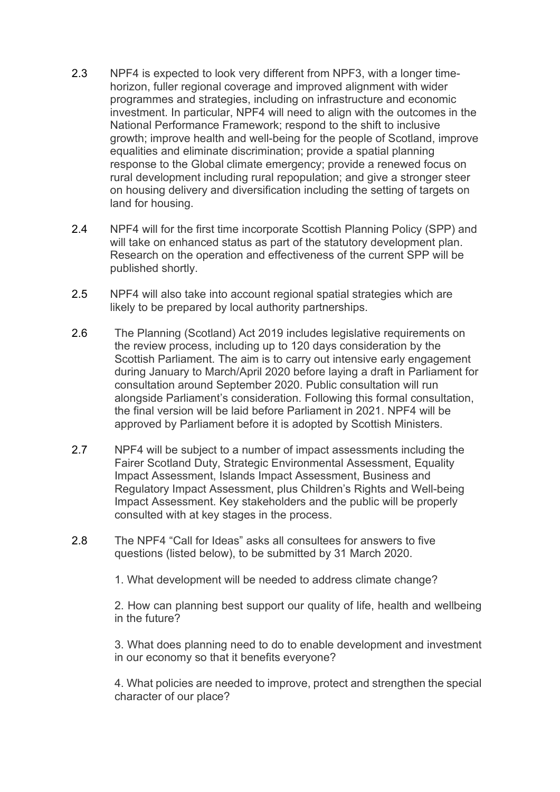- 2.3 NPF4 is expected to look very different from NPF3, with a longer timehorizon, fuller regional coverage and improved alignment with wider programmes and strategies, including on infrastructure and economic investment. In particular, NPF4 will need to align with the outcomes in the National Performance Framework; respond to the shift to inclusive growth; improve health and well-being for the people of Scotland, improve equalities and eliminate discrimination; provide a spatial planning response to the Global climate emergency; provide a renewed focus on rural development including rural repopulation; and give a stronger steer on housing delivery and diversification including the setting of targets on land for housing.
- 2.4 NPF4 will for the first time incorporate Scottish Planning Policy (SPP) and will take on enhanced status as part of the statutory development plan. Research on the operation and effectiveness of the current SPP will be published shortly.
- 2.5 NPF4 will also take into account regional spatial strategies which are likely to be prepared by local authority partnerships.
- 2.6 The Planning (Scotland) Act 2019 includes legislative requirements on the review process, including up to 120 days consideration by the Scottish Parliament. The aim is to carry out intensive early engagement during January to March/April 2020 before laying a draft in Parliament for consultation around September 2020. Public consultation will run alongside Parliament's consideration. Following this formal consultation, the final version will be laid before Parliament in 2021. NPF4 will be approved by Parliament before it is adopted by Scottish Ministers.
- 2.7 NPF4 will be subject to a number of impact assessments including the Fairer Scotland Duty, Strategic Environmental Assessment, Equality Impact Assessment, Islands Impact Assessment, Business and Regulatory Impact Assessment, plus Children's Rights and Well-being Impact Assessment. Key stakeholders and the public will be properly consulted with at key stages in the process.
- 2.8 The NPF4 "Call for Ideas" asks all consultees for answers to five questions (listed below), to be submitted by 31 March 2020.

1. What development will be needed to address climate change?

2. How can planning best support our quality of life, health and wellbeing in the future?

3. What does planning need to do to enable development and investment in our economy so that it benefits everyone?

4. What policies are needed to improve, protect and strengthen the special character of our place?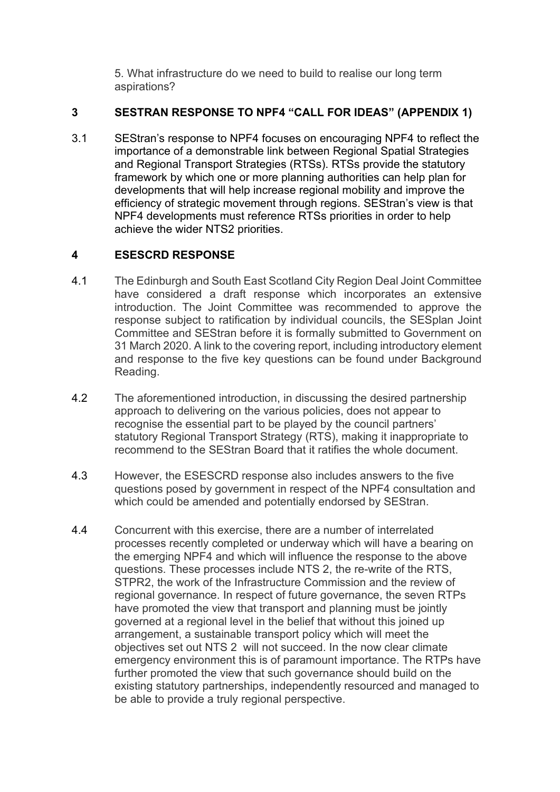5. What infrastructure do we need to build to realise our long term aspirations?

### **3 SESTRAN RESPONSE TO NPF4 "CALL FOR IDEAS" (APPENDIX 1)**

3.1 SEStran's response to NPF4 focuses on encouraging NPF4 to reflect the importance of a demonstrable link between Regional Spatial Strategies and Regional Transport Strategies (RTSs). RTSs provide the statutory framework by which one or more planning authorities can help plan for developments that will help increase regional mobility and improve the efficiency of strategic movement through regions. SEStran's view is that NPF4 developments must reference RTSs priorities in order to help achieve the wider NTS2 priorities.

## **4 ESESCRD RESPONSE**

- 4.1 The Edinburgh and South East Scotland City Region Deal Joint Committee have considered a draft response which incorporates an extensive introduction. The Joint Committee was recommended to approve the response subject to ratification by individual councils, the SESplan Joint Committee and SEStran before it is formally submitted to Government on 31 March 2020. A link to the covering report, including introductory element and response to the five key questions can be found under Background Reading.
- 4.2 The aforementioned introduction, in discussing the desired partnership approach to delivering on the various policies, does not appear to recognise the essential part to be played by the council partners' statutory Regional Transport Strategy (RTS), making it inappropriate to recommend to the SEStran Board that it ratifies the whole document.
- 4.3 However, the ESESCRD response also includes answers to the five questions posed by government in respect of the NPF4 consultation and which could be amended and potentially endorsed by SEStran.
- 4.4 Concurrent with this exercise, there are a number of interrelated processes recently completed or underway which will have a bearing on the emerging NPF4 and which will influence the response to the above questions. These processes include NTS 2, the re-write of the RTS, STPR2, the work of the Infrastructure Commission and the review of regional governance. In respect of future governance, the seven RTPs have promoted the view that transport and planning must be jointly governed at a regional level in the belief that without this joined up arrangement, a sustainable transport policy which will meet the objectives set out NTS 2 will not succeed. In the now clear climate emergency environment this is of paramount importance. The RTPs have further promoted the view that such governance should build on the existing statutory partnerships, independently resourced and managed to be able to provide a truly regional perspective.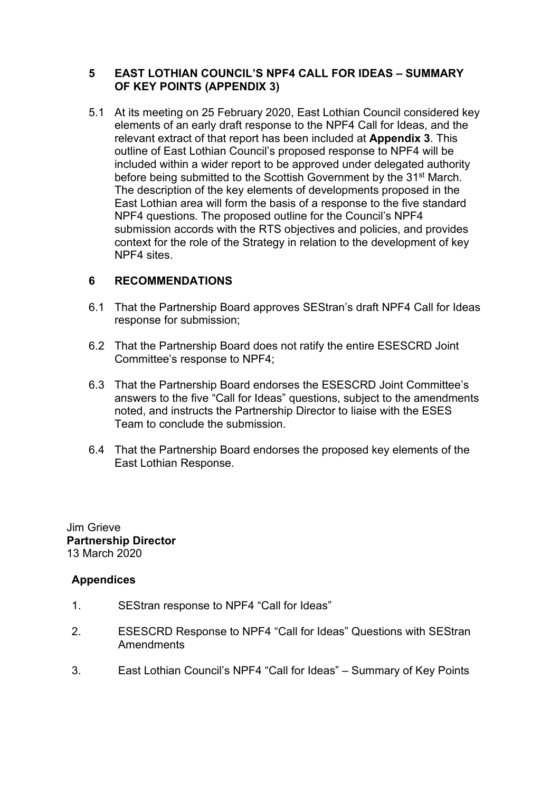### **5 EAST LOTHIAN COUNCIL'S NPF4 CALL FOR IDEAS – SUMMARY OF KEY POINTS (APPENDIX 3)**

5.1 At its meeting on 25 February 2020, East Lothian Council considered key elements of an early draft response to the NPF4 Call for Ideas, and the relevant extract of that report has been included at **Appendix 3**. This outline of East Lothian Council's proposed response to NPF4 will be included within a wider report to be approved under delegated authority before being submitted to the Scottish Government by the 31<sup>st</sup> March. The description of the key elements of developments proposed in the East Lothian area will form the basis of a response to the five standard NPF4 questions. The proposed outline for the Council's NPF4 submission accords with the RTS objectives and policies, and provides context for the role of the Strategy in relation to the development of key NPF4 sites.

### **6 RECOMMENDATIONS**

- 6.1 That the Partnership Board approves SEStran's draft NPF4 Call for Ideas response for submission;
- 6.2 That the Partnership Board does not ratify the entire ESESCRD Joint Committee's response to NPF4;
- 6.3 That the Partnership Board endorses the ESESCRD Joint Committee's answers to the five "Call for Ideas" questions, subject to the amendments noted, and instructs the Partnership Director to liaise with the ESES Team to conclude the submission.
- 6.4 That the Partnership Board endorses the proposed key elements of the East Lothian Response.

Jim Grieve **Partnership Director** 13 March 2020

#### **Appendices**

- 1. SEStran response to NPF4 "Call for Ideas"
- 2. ESESCRD Response to NPF4 "Call for Ideas" Questions with SEStran Amendments
- 3. East Lothian Council's NPF4 "Call for Ideas" Summary of Key Points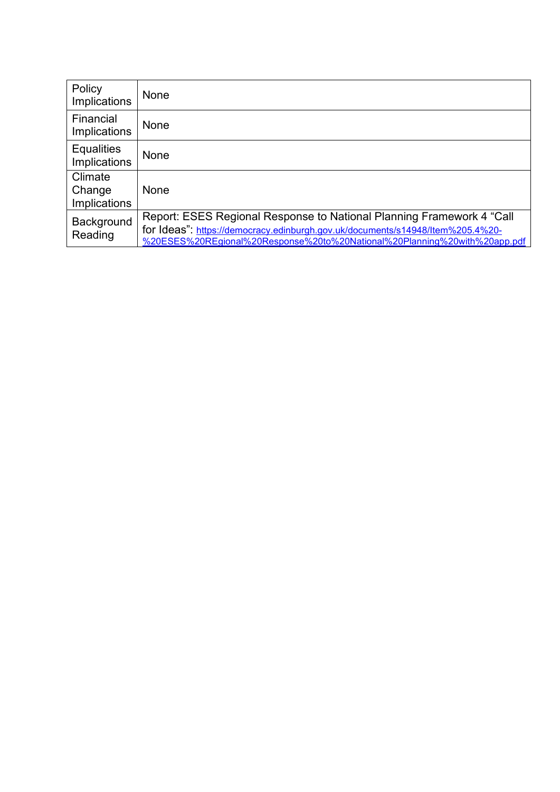| Policy<br>Implications            | None                                                                                                                                                                                                                                 |
|-----------------------------------|--------------------------------------------------------------------------------------------------------------------------------------------------------------------------------------------------------------------------------------|
| Financial<br>Implications         | None                                                                                                                                                                                                                                 |
| <b>Equalities</b><br>Implications | None                                                                                                                                                                                                                                 |
| Climate<br>Change<br>Implications | None                                                                                                                                                                                                                                 |
| Background<br>Reading             | Report: ESES Regional Response to National Planning Framework 4 "Call<br>for Ideas": https://democracy.edinburgh.gov.uk/documents/s14948/Item%205.4%20-<br>%20ESES%20REgional%20Response%20to%20National%20Planning%20with%20app.pdf |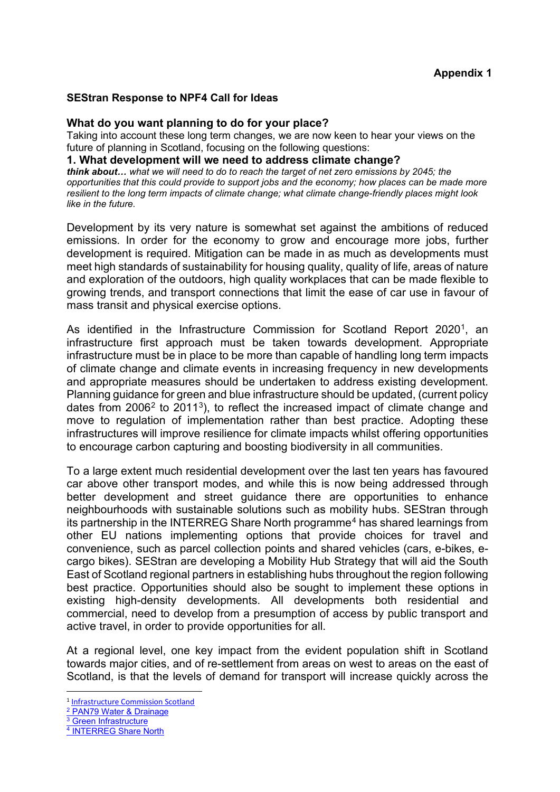#### **SEStran Response to NPF4 Call for Ideas**

#### **What do you want planning to do for your place?**

Taking into account these long term changes, we are now keen to hear your views on the future of planning in Scotland, focusing on the following questions:

#### **1. What development will we need to address climate change?**

*think about… what we will need to do to reach the target of net zero emissions by 2045; the opportunities that this could provide to support jobs and the economy; how places can be made more resilient to the long term impacts of climate change; what climate change-friendly places might look like in the future.* 

Development by its very nature is somewhat set against the ambitions of reduced emissions. In order for the economy to grow and encourage more jobs, further development is required. Mitigation can be made in as much as developments must meet high standards of sustainability for housing quality, quality of life, areas of nature and exploration of the outdoors, high quality workplaces that can be made flexible to growing trends, and transport connections that limit the ease of car use in favour of mass transit and physical exercise options.

As identified in the Infrastructure Commission for Scotland Report 2020<sup>1</sup>. an infrastructure first approach must be taken towards development. Appropriate infrastructure must be in place to be more than capable of handling long term impacts of climate change and climate events in increasing frequency in new developments and appropriate measures should be undertaken to address existing development. Planning guidance for green and blue infrastructure should be updated, (current policy dates from  $2006^2$  $2006^2$  to  $2011^3$  $2011^3$ ), to reflect the increased impact of climate change and move to regulation of implementation rather than best practice. Adopting these infrastructures will improve resilience for climate impacts whilst offering opportunities to encourage carbon capturing and boosting biodiversity in all communities.

To a large extent much residential development over the last ten years has favoured car above other transport modes, and while this is now being addressed through better development and street guidance there are opportunities to enhance neighbourhoods with sustainable solutions such as mobility hubs. SEStran through its partnership in the INTERREG Share North programme<sup>[4](#page-5-3)</sup> has shared learnings from other EU nations implementing options that provide choices for travel and convenience, such as parcel collection points and shared vehicles (cars, e-bikes, ecargo bikes). SEStran are developing a Mobility Hub Strategy that will aid the South East of Scotland regional partners in establishing hubs throughout the region following best practice. Opportunities should also be sought to implement these options in existing high-density developments. All developments both residential and commercial, need to develop from a presumption of access by public transport and active travel, in order to provide opportunities for all.

At a regional level, one key impact from the evident population shift in Scotland towards major cities, and of re-settlement from areas on west to areas on the east of Scotland, is that the levels of demand for transport will increase quickly across the

<span id="page-5-0"></span><sup>1</sup> [Infrastructure Commission Scotland](https://infrastructurecommission.scot/page/key-findings-report)

<span id="page-5-1"></span><sup>&</sup>lt;sup>2</sup> [PAN79 Water & Drainage](https://www.gov.scot/binaries/content/documents/govscot/publications/advice-and-guidance/2006/09/planning-advice-note-pan-79-water-drainage/documents/0039881-pdf/0039881-pdf/govscot%3Adocument/0039881.pdf)

<span id="page-5-2"></span><sup>&</sup>lt;sup>3</sup> [Green Infrastructure](https://www.gov.scot/binaries/content/documents/govscot/publications/advice-and-guidance/2011/11/green-infrastructure/documents/green-infrastrucutre-design-placemaking-pdf/green-infrastrucutre-design-placemaking-pdf/govscot%3Adocument/green%2Binfrastrucutre%2Bdesign%2Band%2Bplacemaking.pdf)

<span id="page-5-3"></span><sup>4</sup> [INTERREG Share North](https://northsearegion.eu/share-north/)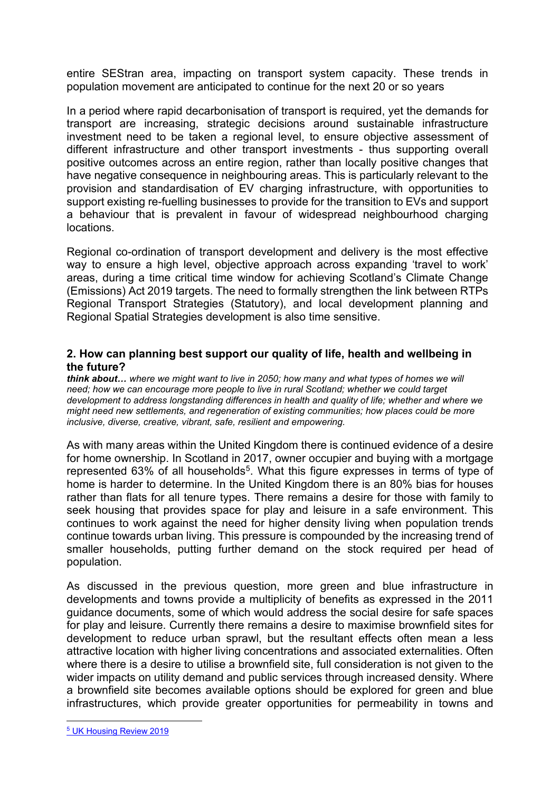entire SEStran area, impacting on transport system capacity. These trends in population movement are anticipated to continue for the next 20 or so years

In a period where rapid decarbonisation of transport is required, yet the demands for transport are increasing, strategic decisions around sustainable infrastructure investment need to be taken a regional level, to ensure objective assessment of different infrastructure and other transport investments - thus supporting overall positive outcomes across an entire region, rather than locally positive changes that have negative consequence in neighbouring areas. This is particularly relevant to the provision and standardisation of EV charging infrastructure, with opportunities to support existing re-fuelling businesses to provide for the transition to EVs and support a behaviour that is prevalent in favour of widespread neighbourhood charging locations.

Regional co-ordination of transport development and delivery is the most effective way to ensure a high level, objective approach across expanding 'travel to work' areas, during a time critical time window for achieving Scotland's Climate Change (Emissions) Act 2019 targets. The need to formally strengthen the link between RTPs Regional Transport Strategies (Statutory), and local development planning and Regional Spatial Strategies development is also time sensitive.

#### **2. How can planning best support our quality of life, health and wellbeing in the future?**

*think about… where we might want to live in 2050; how many and what types of homes we will need; how we can encourage more people to live in rural Scotland; whether we could target development to address longstanding differences in health and quality of life; whether and where we might need new settlements, and regeneration of existing communities; how places could be more inclusive, diverse, creative, vibrant, safe, resilient and empowering.* 

As with many areas within the United Kingdom there is continued evidence of a desire for home ownership. In Scotland in 2017, owner occupier and buying with a mortgage represented 63% of all households<sup>5</sup>. What this figure expresses in terms of type of home is harder to determine. In the United Kingdom there is an 80% bias for houses rather than flats for all tenure types. There remains a desire for those with family to seek housing that provides space for play and leisure in a safe environment. This continues to work against the need for higher density living when population trends continue towards urban living. This pressure is compounded by the increasing trend of smaller households, putting further demand on the stock required per head of population.

As discussed in the previous question, more green and blue infrastructure in developments and towns provide a multiplicity of benefits as expressed in the 2011 guidance documents, some of which would address the social desire for safe spaces for play and leisure. Currently there remains a desire to maximise brownfield sites for development to reduce urban sprawl, but the resultant effects often mean a less attractive location with higher living concentrations and associated externalities. Often where there is a desire to utilise a brownfield site, full consideration is not given to the wider impacts on utility demand and public services through increased density. Where a brownfield site becomes available options should be explored for green and blue infrastructures, which provide greater opportunities for permeability in towns and

<span id="page-6-0"></span><sup>5</sup> [UK Housing Review 2019](https://www.ukhousingreview.org.uk/ukhr19/index.html)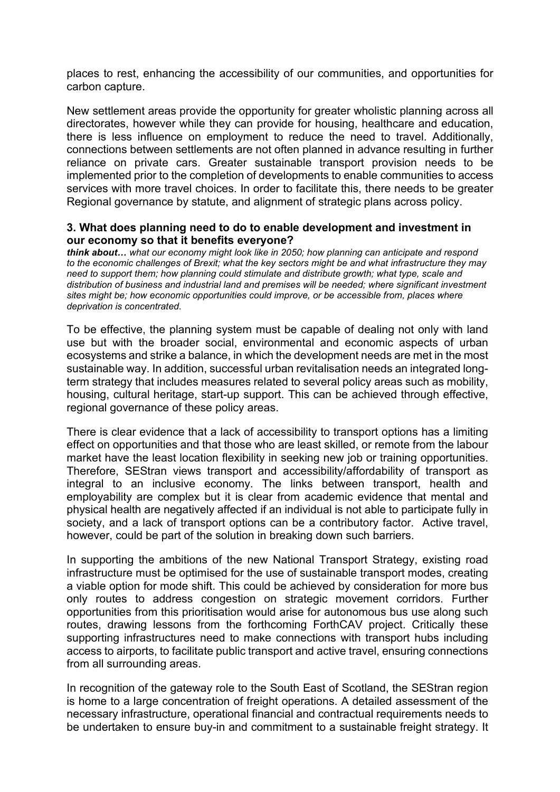places to rest, enhancing the accessibility of our communities, and opportunities for carbon capture.

New settlement areas provide the opportunity for greater wholistic planning across all directorates, however while they can provide for housing, healthcare and education, there is less influence on employment to reduce the need to travel. Additionally, connections between settlements are not often planned in advance resulting in further reliance on private cars. Greater sustainable transport provision needs to be implemented prior to the completion of developments to enable communities to access services with more travel choices. In order to facilitate this, there needs to be greater Regional governance by statute, and alignment of strategic plans across policy.

#### **3. What does planning need to do to enable development and investment in our economy so that it benefits everyone?**

*think about… what our economy might look like in 2050; how planning can anticipate and respond to the economic challenges of Brexit; what the key sectors might be and what infrastructure they may need to support them; how planning could stimulate and distribute growth; what type, scale and*  distribution of business and industrial land and premises will be needed; where significant investment *sites might be; how economic opportunities could improve, or be accessible from, places where deprivation is concentrated.* 

To be effective, the planning system must be capable of dealing not only with land use but with the broader social, environmental and economic aspects of urban ecosystems and strike a balance, in which the development needs are met in the most sustainable way. In addition, successful urban revitalisation needs an integrated longterm strategy that includes measures related to several policy areas such as mobility, housing, cultural heritage, start-up support. This can be achieved through effective, regional governance of these policy areas.

There is clear evidence that a lack of accessibility to transport options has a limiting effect on opportunities and that those who are least skilled, or remote from the labour market have the least location flexibility in seeking new job or training opportunities. Therefore, SEStran views transport and accessibility/affordability of transport as integral to an inclusive economy. The links between transport, health and employability are complex but it is clear from academic evidence that mental and physical health are negatively affected if an individual is not able to participate fully in society, and a lack of transport options can be a contributory factor. Active travel, however, could be part of the solution in breaking down such barriers.

In supporting the ambitions of the new National Transport Strategy, existing road infrastructure must be optimised for the use of sustainable transport modes, creating a viable option for mode shift. This could be achieved by consideration for more bus only routes to address congestion on strategic movement corridors. Further opportunities from this prioritisation would arise for autonomous bus use along such routes, drawing lessons from the forthcoming ForthCAV project. Critically these supporting infrastructures need to make connections with transport hubs including access to airports, to facilitate public transport and active travel, ensuring connections from all surrounding areas.

In recognition of the gateway role to the South East of Scotland, the SEStran region is home to a large concentration of freight operations. A detailed assessment of the necessary infrastructure, operational financial and contractual requirements needs to be undertaken to ensure buy-in and commitment to a sustainable freight strategy. It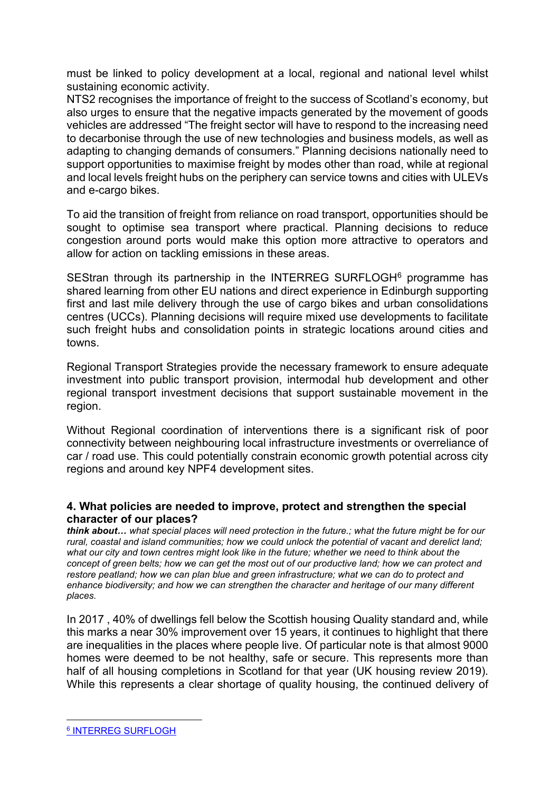must be linked to policy development at a local, regional and national level whilst sustaining economic activity.

NTS2 recognises the importance of freight to the success of Scotland's economy, but also urges to ensure that the negative impacts generated by the movement of goods vehicles are addressed "The freight sector will have to respond to the increasing need to decarbonise through the use of new technologies and business models, as well as adapting to changing demands of consumers." Planning decisions nationally need to support opportunities to maximise freight by modes other than road, while at regional and local levels freight hubs on the periphery can service towns and cities with ULEVs and e-cargo bikes.

To aid the transition of freight from reliance on road transport, opportunities should be sought to optimise sea transport where practical. Planning decisions to reduce congestion around ports would make this option more attractive to operators and allow for action on tackling emissions in these areas.

SEStran through its partnership in the INTERREG SURFLOGH<sup>[6](#page-8-0)</sup> programme has shared learning from other EU nations and direct experience in Edinburgh supporting first and last mile delivery through the use of cargo bikes and urban consolidations centres (UCCs). Planning decisions will require mixed use developments to facilitate such freight hubs and consolidation points in strategic locations around cities and towns.

Regional Transport Strategies provide the necessary framework to ensure adequate investment into public transport provision, intermodal hub development and other regional transport investment decisions that support sustainable movement in the region.

Without Regional coordination of interventions there is a significant risk of poor connectivity between neighbouring local infrastructure investments or overreliance of car / road use. This could potentially constrain economic growth potential across city regions and around key NPF4 development sites.

### **4. What policies are needed to improve, protect and strengthen the special character of our places?**

*think about… what special places will need protection in the future.; what the future might be for our rural, coastal and island communities; how we could unlock the potential of vacant and derelict land; what our city and town centres might look like in the future; whether we need to think about the concept of green belts; how we can get the most out of our productive land; how we can protect and restore peatland; how we can plan blue and green infrastructure; what we can do to protect and enhance biodiversity; and how we can strengthen the character and heritage of our many different places.* 

In 2017 , 40% of dwellings fell below the Scottish housing Quality standard and, while this marks a near 30% improvement over 15 years, it continues to highlight that there are inequalities in the places where people live. Of particular note is that almost 9000 homes were deemed to be not healthy, safe or secure. This represents more than half of all housing completions in Scotland for that year (UK housing review 2019). While this represents a clear shortage of quality housing, the continued delivery of

<span id="page-8-0"></span><sup>6</sup> [INTERREG SURFLOGH](https://northsearegion.eu/surflogh/)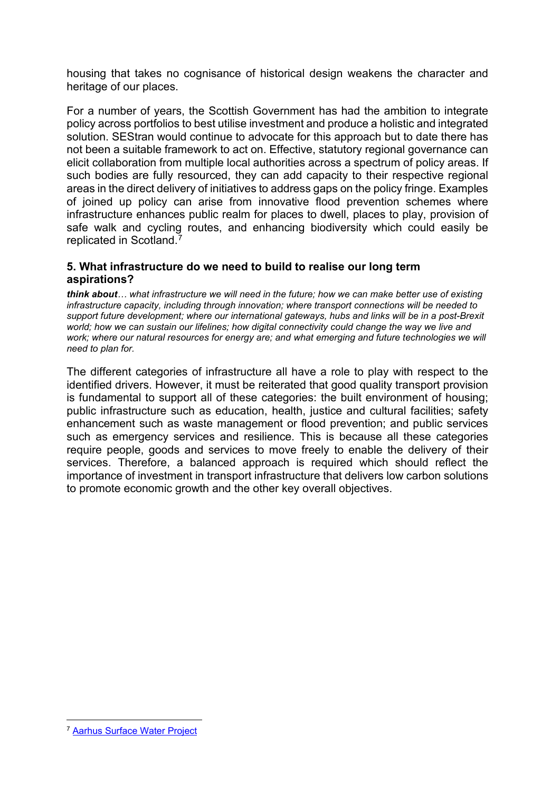housing that takes no cognisance of historical design weakens the character and heritage of our places.

For a number of years, the Scottish Government has had the ambition to integrate policy across portfolios to best utilise investment and produce a holistic and integrated solution. SEStran would continue to advocate for this approach but to date there has not been a suitable framework to act on. Effective, statutory regional governance can elicit collaboration from multiple local authorities across a spectrum of policy areas. If such bodies are fully resourced, they can add capacity to their respective regional areas in the direct delivery of initiatives to address gaps on the policy fringe. Examples of joined up policy can arise from innovative flood prevention schemes where infrastructure enhances public realm for places to dwell, places to play, provision of safe walk and cycling routes, and enhancing biodiversity which could easily be replicated in Scotland[.7](#page-9-0)

### **5. What infrastructure do we need to build to realise our long term aspirations?**

*think about… what infrastructure we will need in the future; how we can make better use of existing infrastructure capacity, including through innovation; where transport connections will be needed to support future development; where our international gateways, hubs and links will be in a post-Brexit world; how we can sustain our lifelines; how digital connectivity could change the way we live and work; where our natural resources for energy are; and what emerging and future technologies we will need to plan for.* 

The different categories of infrastructure all have a role to play with respect to the identified drivers. However, it must be reiterated that good quality transport provision is fundamental to support all of these categories: the built environment of housing; public infrastructure such as education, health, justice and cultural facilities; safety enhancement such as waste management or flood prevention; and public services such as emergency services and resilience. This is because all these categories require people, goods and services to move freely to enable the delivery of their services. Therefore, a balanced approach is required which should reflect the importance of investment in transport infrastructure that delivers low carbon solutions to promote economic growth and the other key overall objectives.

<span id="page-9-0"></span><sup>7</sup> [Aarhus Surface Water Project](https://naturvation.eu/nbs/arhus/climate-adaptation-risvangen)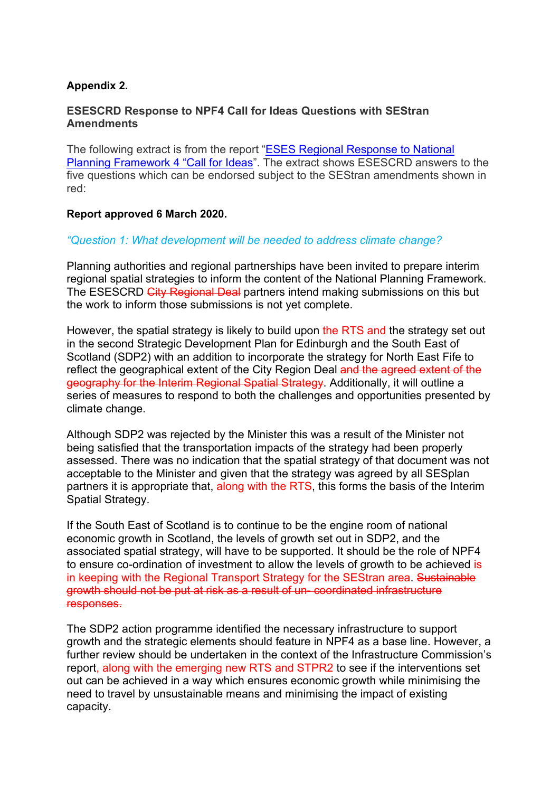## **Appendix 2.**

### **ESESCRD Response to NPF4 Call for Ideas Questions with SEStran Amendments**

The following extract is from the report ["ESES Regional Response to National](https://democracy.edinburgh.gov.uk/documents/s14948/Item%205.4%20-%20ESES%20REgional%20Response%20to%20National%20Planning%20with%20app.pdf)  [Planning Framework 4 "Call for Ideas"](https://democracy.edinburgh.gov.uk/documents/s14948/Item%205.4%20-%20ESES%20REgional%20Response%20to%20National%20Planning%20with%20app.pdf). The extract shows ESESCRD answers to the five questions which can be endorsed subject to the SEStran amendments shown in red:

#### **Report approved 6 March 2020.**

#### *"Question 1: What development will be needed to address climate change?*

Planning authorities and regional partnerships have been invited to prepare interim regional spatial strategies to inform the content of the National Planning Framework. The ESESCRD City Regional Deal partners intend making submissions on this but the work to inform those submissions is not yet complete.

However, the spatial strategy is likely to build upon the RTS and the strategy set out in the second Strategic Development Plan for Edinburgh and the South East of Scotland (SDP2) with an addition to incorporate the strategy for North East Fife to reflect the geographical extent of the City Region Deal and the agreed extent of the geography for the Interim Regional Spatial Strategy. Additionally, it will outline a series of measures to respond to both the challenges and opportunities presented by climate change.

Although SDP2 was rejected by the Minister this was a result of the Minister not being satisfied that the transportation impacts of the strategy had been properly assessed. There was no indication that the spatial strategy of that document was not acceptable to the Minister and given that the strategy was agreed by all SESplan partners it is appropriate that, along with the RTS, this forms the basis of the Interim Spatial Strategy.

If the South East of Scotland is to continue to be the engine room of national economic growth in Scotland, the levels of growth set out in SDP2, and the associated spatial strategy, will have to be supported. It should be the role of NPF4 to ensure co-ordination of investment to allow the levels of growth to be achieved is in keeping with the Regional Transport Strategy for the SEStran area. Sustainable growth should not be put at risk as a result of un- coordinated infrastructure responses.

The SDP2 action programme identified the necessary infrastructure to support growth and the strategic elements should feature in NPF4 as a base line. However, a further review should be undertaken in the context of the Infrastructure Commission's report, along with the emerging new RTS and STPR2 to see if the interventions set out can be achieved in a way which ensures economic growth while minimising the need to travel by unsustainable means and minimising the impact of existing capacity.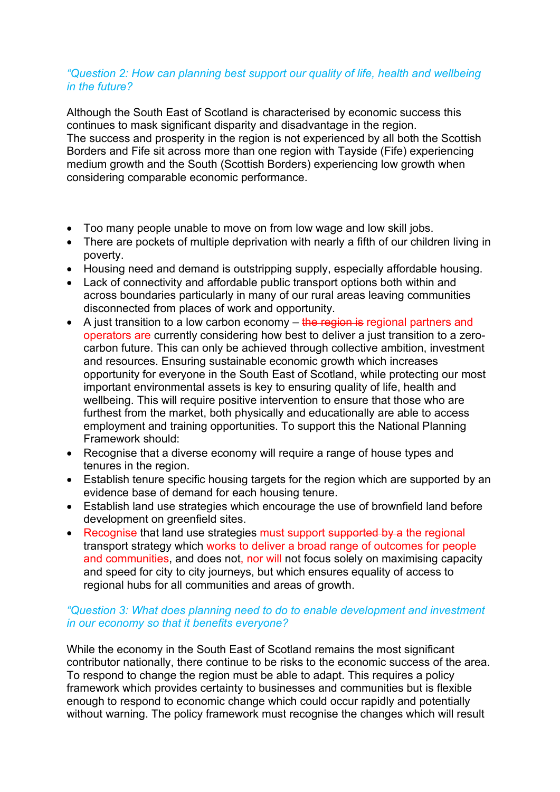#### *"Question 2: How can planning best support our quality of life, health and wellbeing in the future?*

Although the South East of Scotland is characterised by economic success this continues to mask significant disparity and disadvantage in the region. The success and prosperity in the region is not experienced by all both the Scottish Borders and Fife sit across more than one region with Tayside (Fife) experiencing medium growth and the South (Scottish Borders) experiencing low growth when considering comparable economic performance.

- Too many people unable to move on from low wage and low skill jobs.
- There are pockets of multiple deprivation with nearly a fifth of our children living in poverty.
- Housing need and demand is outstripping supply, especially affordable housing.
- Lack of connectivity and affordable public transport options both within and across boundaries particularly in many of our rural areas leaving communities disconnected from places of work and opportunity.
- A just transition to a low carbon economy  $-$  the region is regional partners and operators are currently considering how best to deliver a just transition to a zerocarbon future. This can only be achieved through collective ambition, investment and resources. Ensuring sustainable economic growth which increases opportunity for everyone in the South East of Scotland, while protecting our most important environmental assets is key to ensuring quality of life, health and wellbeing. This will require positive intervention to ensure that those who are furthest from the market, both physically and educationally are able to access employment and training opportunities. To support this the National Planning Framework should:
- Recognise that a diverse economy will require a range of house types and tenures in the region.
- Establish tenure specific housing targets for the region which are supported by an evidence base of demand for each housing tenure.
- Establish land use strategies which encourage the use of brownfield land before development on greenfield sites.
- Recognise that land use strategies must support supported by a the regional transport strategy which works to deliver a broad range of outcomes for people and communities, and does not, nor will not focus solely on maximising capacity and speed for city to city journeys, but which ensures equality of access to regional hubs for all communities and areas of growth.

### *"Question 3: What does planning need to do to enable development and investment in our economy so that it benefits everyone?*

While the economy in the South East of Scotland remains the most significant contributor nationally, there continue to be risks to the economic success of the area. To respond to change the region must be able to adapt. This requires a policy framework which provides certainty to businesses and communities but is flexible enough to respond to economic change which could occur rapidly and potentially without warning. The policy framework must recognise the changes which will result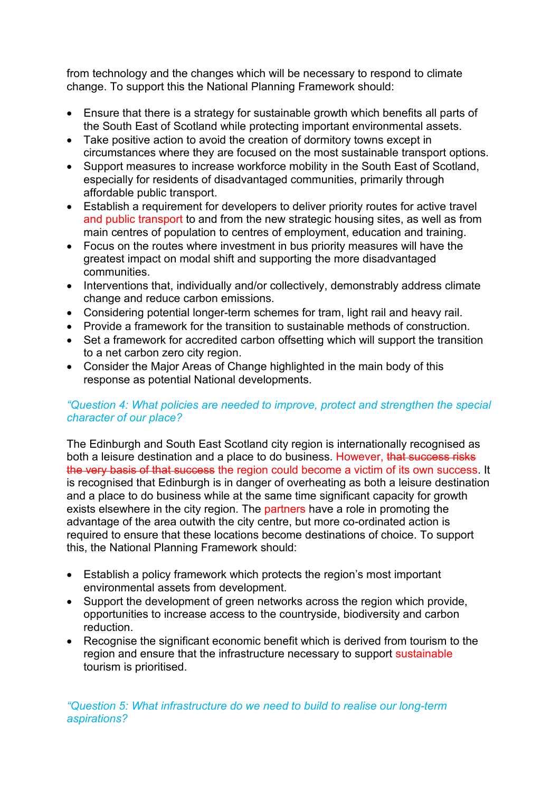from technology and the changes which will be necessary to respond to climate change. To support this the National Planning Framework should:

- Ensure that there is a strategy for sustainable growth which benefits all parts of the South East of Scotland while protecting important environmental assets.
- Take positive action to avoid the creation of dormitory towns except in circumstances where they are focused on the most sustainable transport options.
- Support measures to increase workforce mobility in the South East of Scotland, especially for residents of disadvantaged communities, primarily through affordable public transport.
- Establish a requirement for developers to deliver priority routes for active travel and public transport to and from the new strategic housing sites, as well as from main centres of population to centres of employment, education and training.
- Focus on the routes where investment in bus priority measures will have the greatest impact on modal shift and supporting the more disadvantaged communities.
- Interventions that, individually and/or collectively, demonstrably address climate change and reduce carbon emissions.
- Considering potential longer-term schemes for tram, light rail and heavy rail.
- Provide a framework for the transition to sustainable methods of construction.
- Set a framework for accredited carbon offsetting which will support the transition to a net carbon zero city region.
- Consider the Major Areas of Change highlighted in the main body of this response as potential National developments.

## *"Question 4: What policies are needed to improve, protect and strengthen the special character of our place?*

The Edinburgh and South East Scotland city region is internationally recognised as both a leisure destination and a place to do business. However, that success risks the very basis of that success the region could become a victim of its own success. It is recognised that Edinburgh is in danger of overheating as both a leisure destination and a place to do business while at the same time significant capacity for growth exists elsewhere in the city region. The partners have a role in promoting the advantage of the area outwith the city centre, but more co-ordinated action is required to ensure that these locations become destinations of choice. To support this, the National Planning Framework should:

- Establish a policy framework which protects the region's most important environmental assets from development.
- Support the development of green networks across the region which provide, opportunities to increase access to the countryside, biodiversity and carbon reduction.
- Recognise the significant economic benefit which is derived from tourism to the region and ensure that the infrastructure necessary to support sustainable tourism is prioritised.

*"Question 5: What infrastructure do we need to build to realise our long-term aspirations?*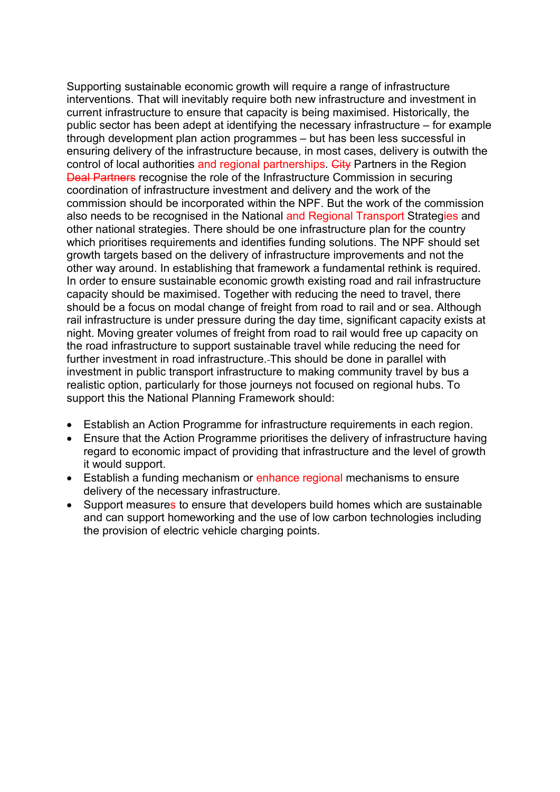Supporting sustainable economic growth will require a range of infrastructure interventions. That will inevitably require both new infrastructure and investment in current infrastructure to ensure that capacity is being maximised. Historically, the public sector has been adept at identifying the necessary infrastructure – for example through development plan action programmes – but has been less successful in ensuring delivery of the infrastructure because, in most cases, delivery is outwith the control of local authorities and regional partnerships. City Partners in the Region Deal Partners recognise the role of the Infrastructure Commission in securing coordination of infrastructure investment and delivery and the work of the commission should be incorporated within the NPF. But the work of the commission also needs to be recognised in the National and Regional Transport Strategies and other national strategies. There should be one infrastructure plan for the country which prioritises requirements and identifies funding solutions. The NPF should set growth targets based on the delivery of infrastructure improvements and not the other way around. In establishing that framework a fundamental rethink is required. In order to ensure sustainable economic growth existing road and rail infrastructure capacity should be maximised. Together with reducing the need to travel, there should be a focus on modal change of freight from road to rail and or sea. Although rail infrastructure is under pressure during the day time, significant capacity exists at night. Moving greater volumes of freight from road to rail would free up capacity on the road infrastructure to support sustainable travel while reducing the need for further investment in road infrastructure. This should be done in parallel with investment in public transport infrastructure to making community travel by bus a realistic option, particularly for those journeys not focused on regional hubs. To support this the National Planning Framework should:

- Establish an Action Programme for infrastructure requirements in each region.
- Ensure that the Action Programme prioritises the delivery of infrastructure having regard to economic impact of providing that infrastructure and the level of growth it would support.
- Establish a funding mechanism or enhance regional mechanisms to ensure delivery of the necessary infrastructure.
- Support measures to ensure that developers build homes which are sustainable and can support homeworking and the use of low carbon technologies including the provision of electric vehicle charging points.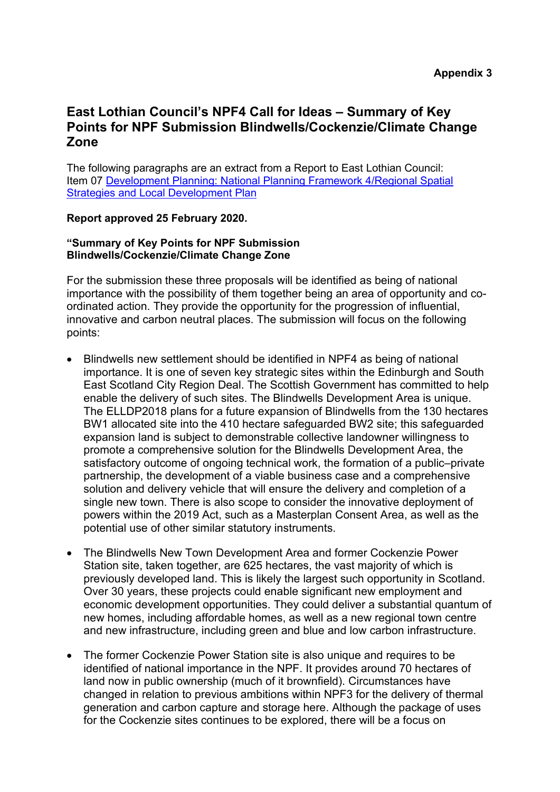# **East Lothian Council's NPF4 Call for Ideas – Summary of Key Points for NPF Submission Blindwells/Cockenzie/Climate Change Zone**

The following paragraphs are an extract from a Report to East Lothian Council: Item 07 [Development Planning: National Planning Framework 4/Regional Spatial](https://www.eastlothian.gov.uk/download/meetings/id/21332/07_development_planning_national_planning_framework_4regional_spatial_strategies_and_local_development_plan)  [Strategies and Local Development Plan](https://www.eastlothian.gov.uk/download/meetings/id/21332/07_development_planning_national_planning_framework_4regional_spatial_strategies_and_local_development_plan)

#### **Report approved 25 February 2020.**

#### **"Summary of Key Points for NPF Submission Blindwells/Cockenzie/Climate Change Zone**

For the submission these three proposals will be identified as being of national importance with the possibility of them together being an area of opportunity and coordinated action. They provide the opportunity for the progression of influential, innovative and carbon neutral places. The submission will focus on the following points:

- Blindwells new settlement should be identified in NPF4 as being of national importance. It is one of seven key strategic sites within the Edinburgh and South East Scotland City Region Deal. The Scottish Government has committed to help enable the delivery of such sites. The Blindwells Development Area is unique. The ELLDP2018 plans for a future expansion of Blindwells from the 130 hectares BW1 allocated site into the 410 hectare safeguarded BW2 site; this safeguarded expansion land is subject to demonstrable collective landowner willingness to promote a comprehensive solution for the Blindwells Development Area, the satisfactory outcome of ongoing technical work, the formation of a public–private partnership, the development of a viable business case and a comprehensive solution and delivery vehicle that will ensure the delivery and completion of a single new town. There is also scope to consider the innovative deployment of powers within the 2019 Act, such as a Masterplan Consent Area, as well as the potential use of other similar statutory instruments.
- The Blindwells New Town Development Area and former Cockenzie Power Station site, taken together, are 625 hectares, the vast majority of which is previously developed land. This is likely the largest such opportunity in Scotland. Over 30 years, these projects could enable significant new employment and economic development opportunities. They could deliver a substantial quantum of new homes, including affordable homes, as well as a new regional town centre and new infrastructure, including green and blue and low carbon infrastructure.
- The former Cockenzie Power Station site is also unique and requires to be identified of national importance in the NPF. It provides around 70 hectares of land now in public ownership (much of it brownfield). Circumstances have changed in relation to previous ambitions within NPF3 for the delivery of thermal generation and carbon capture and storage here. Although the package of uses for the Cockenzie sites continues to be explored, there will be a focus on